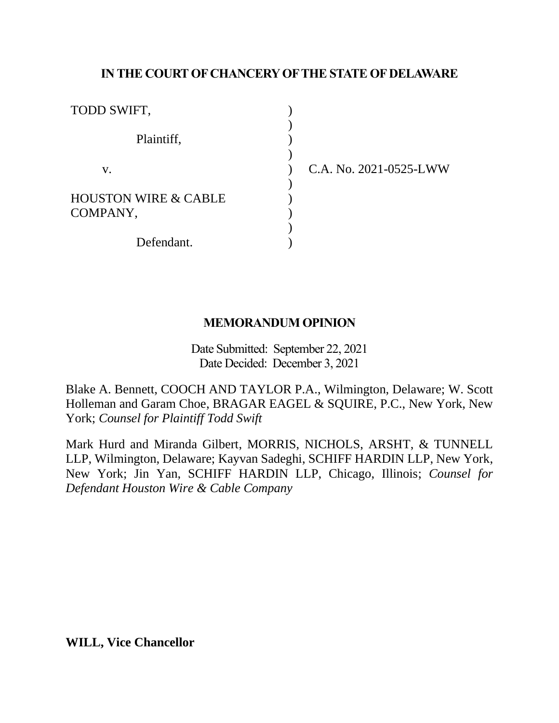## **IN THE COURT OF CHANCERY OF THE STATE OF DELAWARE**

| TODD SWIFT,                     |  |
|---------------------------------|--|
| Plaintiff,                      |  |
| $V_{\rm A}$                     |  |
| <b>HOUSTON WIRE &amp; CABLE</b> |  |
| COMPANY,                        |  |
| Defendant.                      |  |

C.A. No. 2021-0525-LWW

## **MEMORANDUM OPINION**

Date Submitted: September 22, 2021 Date Decided: December 3, 2021

Blake A. Bennett, COOCH AND TAYLOR P.A., Wilmington, Delaware; W. Scott Holleman and Garam Choe, BRAGAR EAGEL & SQUIRE, P.C., New York, New York; *Counsel for Plaintiff Todd Swift*

Mark Hurd and Miranda Gilbert, MORRIS, NICHOLS, ARSHT, & TUNNELL LLP, Wilmington, Delaware; Kayvan Sadeghi, SCHIFF HARDIN LLP, New York, New York; Jin Yan, SCHIFF HARDIN LLP, Chicago, Illinois; *Counsel for Defendant Houston Wire & Cable Company*

**WILL, Vice Chancellor**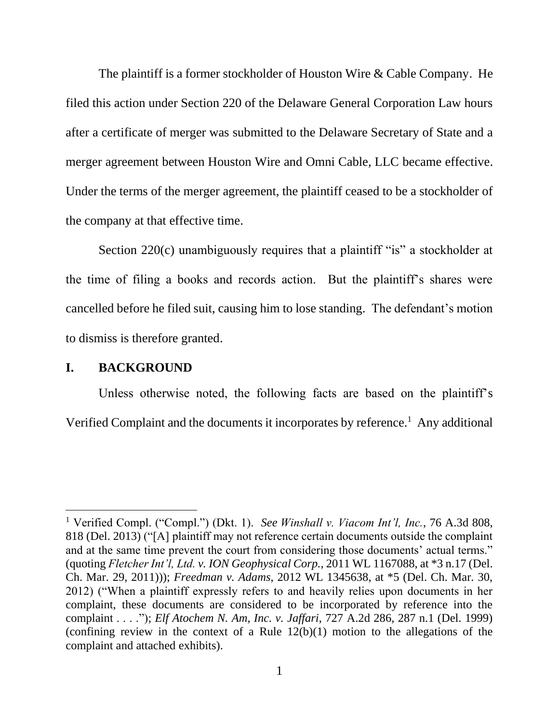The plaintiff is a former stockholder of Houston Wire & Cable Company. He filed this action under Section 220 of the Delaware General Corporation Law hours after a certificate of merger was submitted to the Delaware Secretary of State and a merger agreement between Houston Wire and Omni Cable, LLC became effective. Under the terms of the merger agreement, the plaintiff ceased to be a stockholder of the company at that effective time.

Section 220(c) unambiguously requires that a plaintiff "is" a stockholder at the time of filing a books and records action. But the plaintiff's shares were cancelled before he filed suit, causing him to lose standing. The defendant's motion to dismiss is therefore granted.

### **I. BACKGROUND**

Unless otherwise noted, the following facts are based on the plaintiff's Verified Complaint and the documents it incorporates by reference.<sup>1</sup> Any additional

<sup>1</sup> Verified Compl. ("Compl.") (Dkt. 1). *See Winshall v. Viacom Int'l, Inc.*, 76 A.3d 808, 818 (Del. 2013) ("[A] plaintiff may not reference certain documents outside the complaint and at the same time prevent the court from considering those documents' actual terms." (quoting *Fletcher Int'l, Ltd. v. ION Geophysical Corp.*, 2011 WL 1167088, at \*3 n.17 (Del. Ch. Mar. 29, 2011))); *Freedman v. Adams*, 2012 WL 1345638, at \*5 (Del. Ch. Mar. 30, 2012) ("When a plaintiff expressly refers to and heavily relies upon documents in her complaint, these documents are considered to be incorporated by reference into the complaint . . . ."); *Elf Atochem N. Am, Inc. v. Jaffari*, 727 A.2d 286, 287 n.1 (Del. 1999) (confining review in the context of a Rule 12(b)(1) motion to the allegations of the complaint and attached exhibits).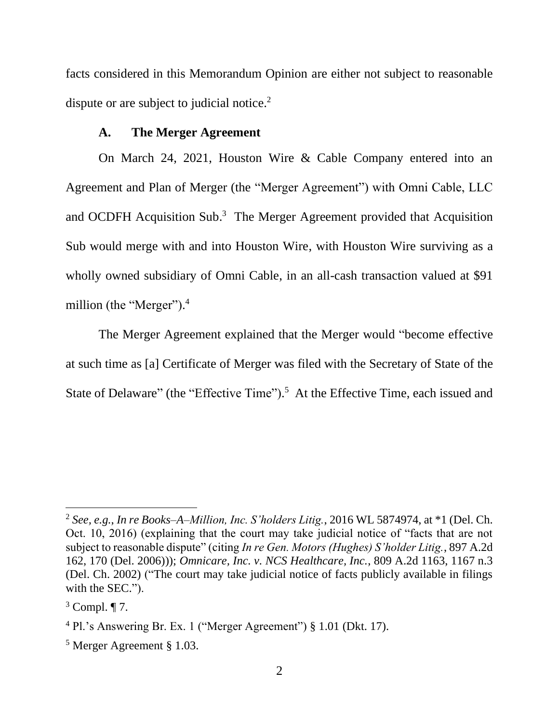facts considered in this Memorandum Opinion are either not subject to reasonable dispute or are subject to judicial notice.<sup>2</sup>

# **A. The Merger Agreement**

On March 24, 2021, Houston Wire & Cable Company entered into an Agreement and Plan of Merger (the "Merger Agreement") with Omni Cable, LLC and OCDFH Acquisition Sub.<sup>3</sup> The Merger Agreement provided that Acquisition Sub would merge with and into Houston Wire, with Houston Wire surviving as a wholly owned subsidiary of Omni Cable, in an all-cash transaction valued at \$91 million (the "Merger").<sup>4</sup>

The Merger Agreement explained that the Merger would "become effective at such time as [a] Certificate of Merger was filed with the Secretary of State of the State of Delaware" (the "Effective Time").<sup>5</sup> At the Effective Time, each issued and

<sup>2</sup> *See, e.g.*, *In re Books–A–Million, Inc. S'holders Litig.*, 2016 WL 5874974, at \*1 (Del. Ch. Oct. 10, 2016) (explaining that the court may take judicial notice of "facts that are not subject to reasonable dispute" (citing *In re Gen. Motors (Hughes) S'holder Litig.*, 897 A.2d 162, 170 (Del. 2006))); *Omnicare, Inc. v. NCS Healthcare, Inc.*, 809 A.2d 1163, 1167 n.3 (Del. Ch. 2002) ("The court may take judicial notice of facts publicly available in filings with the SEC.").

 $3$  Compl.  $\P$  7.

<sup>4</sup> Pl.'s Answering Br. Ex. 1 ("Merger Agreement") § 1.01 (Dkt. 17).

<sup>5</sup> Merger Agreement § 1.03.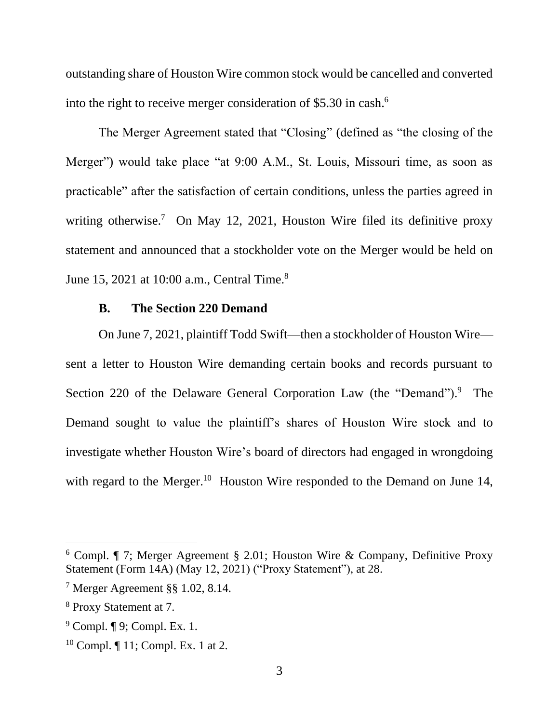outstanding share of Houston Wire common stock would be cancelled and converted into the right to receive merger consideration of \$5.30 in cash. 6

The Merger Agreement stated that "Closing" (defined as "the closing of the Merger") would take place "at 9:00 A.M., St. Louis, Missouri time, as soon as practicable" after the satisfaction of certain conditions, unless the parties agreed in writing otherwise.<sup>7</sup> On May 12, 2021, Houston Wire filed its definitive proxy statement and announced that a stockholder vote on the Merger would be held on June 15, 2021 at 10:00 a.m., Central Time.<sup>8</sup>

## **B. The Section 220 Demand**

On June 7, 2021, plaintiff Todd Swift—then a stockholder of Houston Wire sent a letter to Houston Wire demanding certain books and records pursuant to Section 220 of the Delaware General Corporation Law (the "Demand").<sup>9</sup> The Demand sought to value the plaintiff's shares of Houston Wire stock and to investigate whether Houston Wire's board of directors had engaged in wrongdoing with regard to the Merger.<sup>10</sup> Houston Wire responded to the Demand on June 14,

<sup>&</sup>lt;sup>6</sup> Compl. **[414]** 7; Merger Agreement § 2.01; Houston Wire & Company, Definitive Proxy Statement (Form 14A) (May 12, 2021) ("Proxy Statement"), at 28.

<sup>7</sup> Merger Agreement §§ 1.02, 8.14.

<sup>8</sup> Proxy Statement at 7.

<sup>9</sup> Compl. ¶ 9; Compl. Ex. 1.

<sup>10</sup> Compl. ¶ 11; Compl. Ex. 1 at 2.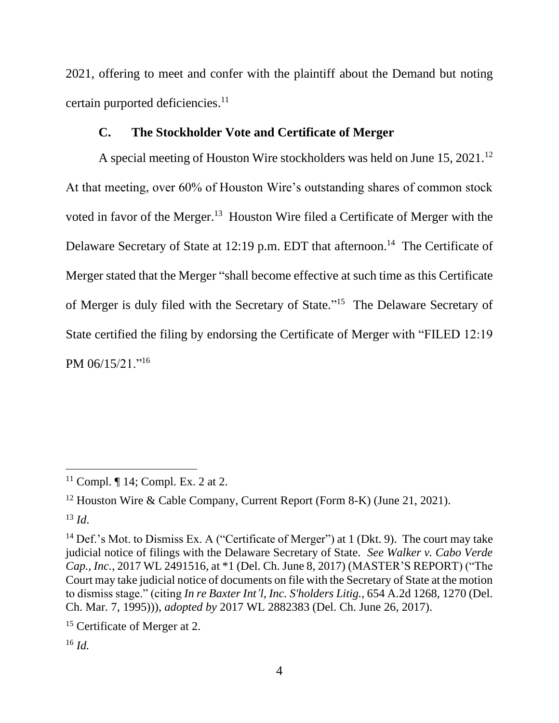2021, offering to meet and confer with the plaintiff about the Demand but noting certain purported deficiencies.<sup>11</sup>

## **C. The Stockholder Vote and Certificate of Merger**

A special meeting of Houston Wire stockholders was held on June 15, 2021.<sup>12</sup> At that meeting, over 60% of Houston Wire's outstanding shares of common stock voted in favor of the Merger.<sup>13</sup> Houston Wire filed a Certificate of Merger with the Delaware Secretary of State at 12:19 p.m. EDT that afternoon.<sup>14</sup> The Certificate of Merger stated that the Merger "shall become effective at such time as this Certificate of Merger is duly filed with the Secretary of State."<sup>15</sup> The Delaware Secretary of State certified the filing by endorsing the Certificate of Merger with "FILED 12:19 PM 06/15/21."<sup>16</sup>

<sup>12</sup> Houston Wire & Cable Company, Current Report (Form 8-K) (June 21, 2021).

 $^{13}$  *Id.* 

<sup>14</sup> Def.'s Mot. to Dismiss Ex. A ("Certificate of Merger") at 1 (Dkt. 9). The court may take judicial notice of filings with the Delaware Secretary of State. *See Walker v. Cabo Verde Cap., Inc.*, 2017 WL 2491516, at \*1 (Del. Ch. June 8, 2017) (MASTER'S REPORT) ("The Court may take judicial notice of documents on file with the Secretary of State at the motion to dismiss stage." (citing *In re Baxter Int'l, Inc. S'holders Litig.*, 654 A.2d 1268, 1270 (Del. Ch. Mar. 7, 1995))), *adopted by* 2017 WL 2882383 (Del. Ch. June 26, 2017).

<sup>&</sup>lt;sup>11</sup> Compl.  $\P$  14; Compl. Ex. 2 at 2.

<sup>&</sup>lt;sup>15</sup> Certificate of Merger at 2.

<sup>16</sup> *Id.*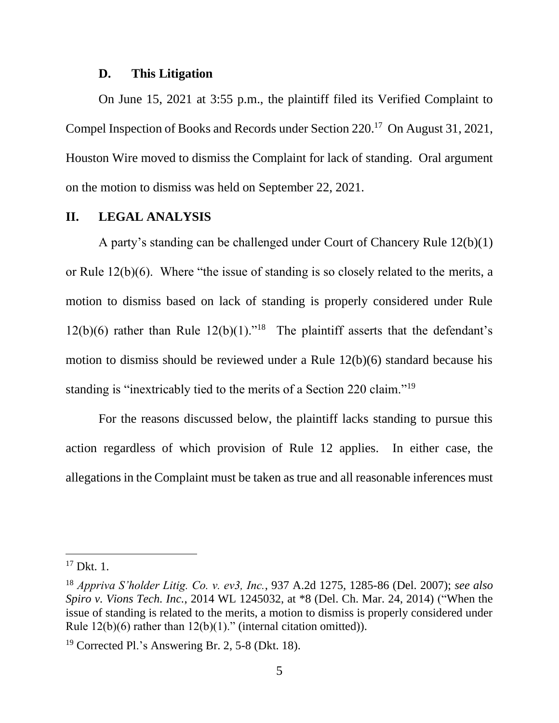#### **D. This Litigation**

On June 15, 2021 at 3:55 p.m., the plaintiff filed its Verified Complaint to Compel Inspection of Books and Records under Section 220. 17 On August 31, 2021, Houston Wire moved to dismiss the Complaint for lack of standing. Oral argument on the motion to dismiss was held on September 22, 2021.

## **II. LEGAL ANALYSIS**

A party's standing can be challenged under Court of Chancery Rule 12(b)(1) or Rule 12(b)(6). Where "the issue of standing is so closely related to the merits, a motion to dismiss based on lack of standing is properly considered under Rule  $12(b)(6)$  rather than Rule  $12(b)(1)$ ."<sup>18</sup> The plaintiff asserts that the defendant's motion to dismiss should be reviewed under a Rule 12(b)(6) standard because his standing is "inextricably tied to the merits of a Section 220 claim."<sup>19</sup>

For the reasons discussed below, the plaintiff lacks standing to pursue this action regardless of which provision of Rule 12 applies. In either case, the allegations in the Complaint must be taken as true and all reasonable inferences must

 $17$  Dkt. 1.

<sup>18</sup> *Appriva S'holder Litig. Co. v. ev3, Inc.*, 937 A.2d 1275, 1285-86 (Del. 2007); *see also Spiro v. Vions Tech. Inc.*, 2014 WL 1245032, at \*8 (Del. Ch. Mar. 24, 2014) ("When the issue of standing is related to the merits, a motion to dismiss is properly considered under Rule  $12(b)(6)$  rather than  $12(b)(1)$ ." (internal citation omitted)).

<sup>19</sup> Corrected Pl.'s Answering Br. 2, 5-8 (Dkt. 18).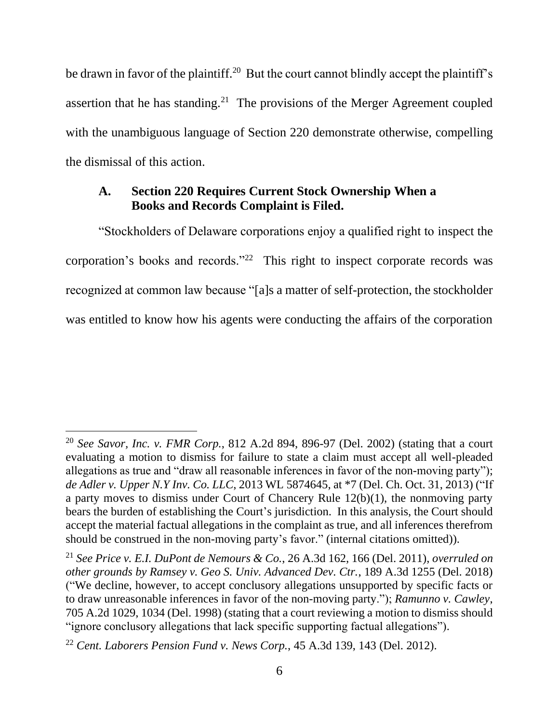be drawn in favor of the plaintiff.<sup>20</sup> But the court cannot blindly accept the plaintiff's assertion that he has standing.<sup>21</sup> The provisions of the Merger Agreement coupled with the unambiguous language of Section 220 demonstrate otherwise, compelling the dismissal of this action.

# **A. Section 220 Requires Current Stock Ownership When a Books and Records Complaint is Filed.**

"Stockholders of Delaware corporations enjoy a qualified right to inspect the corporation's books and records."<sup>22</sup> This right to inspect corporate records was recognized at common law because "[a]s a matter of self-protection, the stockholder was entitled to know how his agents were conducting the affairs of the corporation

<sup>20</sup> *See Savor, Inc. v. FMR Corp.*, 812 A.2d 894, 896-97 (Del. 2002) (stating that a court evaluating a motion to dismiss for failure to state a claim must accept all well-pleaded allegations as true and "draw all reasonable inferences in favor of the non-moving party"); *de Adler v. Upper N.Y Inv. Co. LLC*, 2013 WL 5874645, at \*7 (Del. Ch. Oct. 31, 2013) ("If a party moves to dismiss under Court of Chancery Rule 12(b)(1), the nonmoving party bears the burden of establishing the Court's jurisdiction. In this analysis, the Court should accept the material factual allegations in the complaint as true, and all inferences therefrom should be construed in the non-moving party's favor." (internal citations omitted)).

<sup>21</sup> *See Price v. E.I. DuPont de Nemours & Co.*, 26 A.3d 162, 166 (Del. 2011), *overruled on other grounds by Ramsey v. Geo S. Univ. Advanced Dev. Ctr.*, 189 A.3d 1255 (Del. 2018) ("We decline, however, to accept conclusory allegations unsupported by specific facts or to draw unreasonable inferences in favor of the non-moving party."); *Ramunno v. Cawley*, 705 A.2d 1029, 1034 (Del. 1998) (stating that a court reviewing a motion to dismiss should "ignore conclusory allegations that lack specific supporting factual allegations").

<sup>22</sup> *Cent. Laborers Pension Fund v. News Corp.*, 45 A.3d 139, 143 (Del. 2012).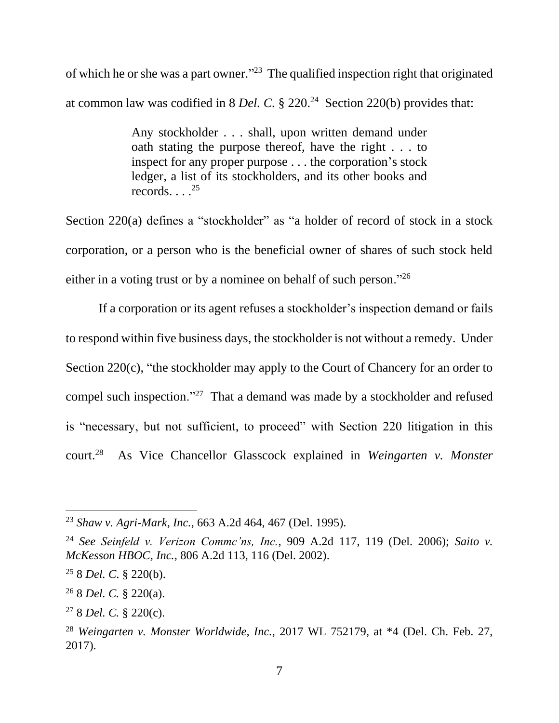of which he or she was a part owner."<sup>23</sup> The qualified inspection right that originated at common law was codified in 8 *Del. C.* § 220.<sup>24</sup> Section 220(b) provides that:

> Any stockholder . . . shall, upon written demand under oath stating the purpose thereof, have the right . . . to inspect for any proper purpose . . . the corporation's stock ledger, a list of its stockholders, and its other books and records.  $\ldots$ <sup>25</sup>

Section 220(a) defines a "stockholder" as "a holder of record of stock in a stock corporation, or a person who is the beneficial owner of shares of such stock held either in a voting trust or by a nominee on behalf of such person."<sup>26</sup>

If a corporation or its agent refuses a stockholder's inspection demand or fails to respond within five business days, the stockholder is not without a remedy. Under Section 220(c), "the stockholder may apply to the Court of Chancery for an order to compel such inspection."<sup>27</sup> That a demand was made by a stockholder and refused is "necessary, but not sufficient, to proceed" with Section 220 litigation in this court.<sup>28</sup> As Vice Chancellor Glasscock explained in *Weingarten v. Monster* 

<sup>26</sup> 8 *Del. C.* § 220(a).

<sup>23</sup> *Shaw v. Agri-Mark, Inc.*, 663 A.2d 464, 467 (Del. 1995).

<sup>24</sup> *See Seinfeld v. Verizon Commc'ns, Inc.*, 909 A.2d 117, 119 (Del. 2006); *Saito v. McKesson HBOC, Inc.*, 806 A.2d 113, 116 (Del. 2002).

<sup>25</sup> 8 *Del. C*. § 220(b).

<sup>27</sup> 8 *Del. C.* § 220(c).

<sup>28</sup> *Weingarten v. Monster Worldwide, Inc.*, 2017 WL 752179, at \*4 (Del. Ch. Feb. 27, 2017).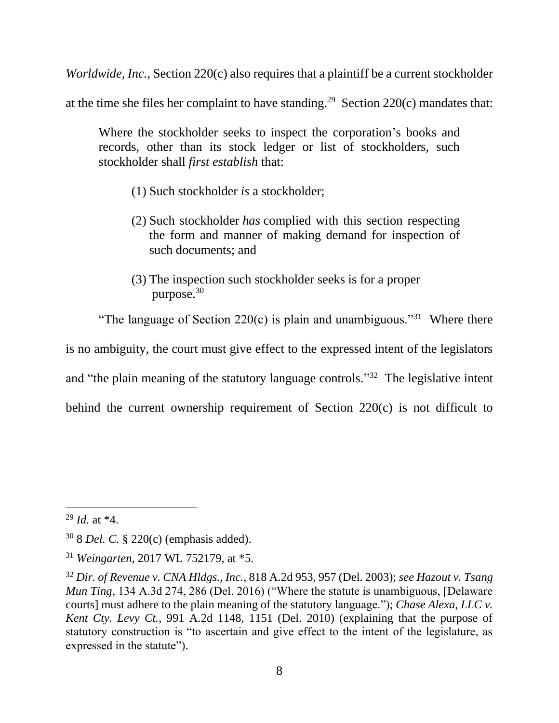*Worldwide, Inc.*, Section 220(c) also requires that a plaintiff be a current stockholder

at the time she files her complaint to have standing.<sup>29</sup> Section 220(c) mandates that:

Where the stockholder seeks to inspect the corporation's books and records, other than its stock ledger or list of stockholders, such stockholder shall *first establish* that:

- (1) Such stockholder *is* a stockholder;
- (2) Such stockholder *has* complied with this section respecting the form and manner of making demand for inspection of such documents; and
- (3) The inspection such stockholder seeks is for a proper purpose.<sup>30</sup>

"The language of Section 220(c) is plain and unambiguous."<sup>31</sup> Where there

is no ambiguity, the court must give effect to the expressed intent of the legislators

and "the plain meaning of the statutory language controls."<sup>32</sup> The legislative intent

behind the current ownership requirement of Section 220(c) is not difficult to

<sup>29</sup> *Id.* at \*4.

<sup>30</sup> 8 *Del. C.* § 220(c) (emphasis added).

<sup>31</sup> *Weingarten*, 2017 WL 752179, at \*5.

<sup>32</sup> *Dir. of Revenue v. CNA Hldgs., Inc.*, 818 A.2d 953, 957 (Del. 2003); *see Hazout v. Tsang Mun Ting*, 134 A.3d 274, 286 (Del. 2016) ("Where the statute is unambiguous, [Delaware courts] must adhere to the plain meaning of the statutory language."); *Chase Alexa, LLC v. Kent Cty. Levy Ct.*, 991 A.2d 1148, 1151 (Del. 2010) (explaining that the purpose of statutory construction is "to ascertain and give effect to the intent of the legislature, as expressed in the statute").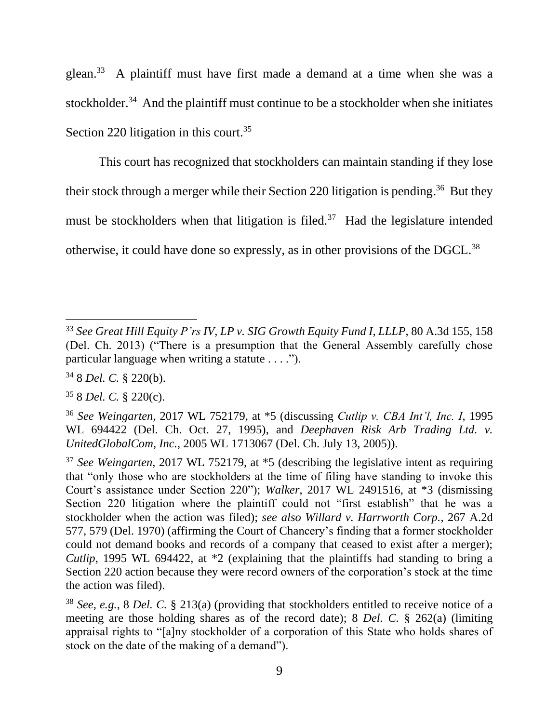glean.<sup>33</sup> A plaintiff must have first made a demand at a time when she was a stockholder.<sup>34</sup> And the plaintiff must continue to be a stockholder when she initiates Section 220 litigation in this court.<sup>35</sup>

This court has recognized that stockholders can maintain standing if they lose their stock through a merger while their Section 220 litigation is pending.<sup>36</sup> But they must be stockholders when that litigation is filed.<sup>37</sup> Had the legislature intended otherwise, it could have done so expressly, as in other provisions of the DGCL.<sup>38</sup>

<sup>33</sup> *See Great Hill Equity P'rs IV, LP v. SIG Growth Equity Fund I, LLLP*, 80 A.3d 155, 158 (Del. Ch. 2013) ("There is a presumption that the General Assembly carefully chose particular language when writing a statute . . . .").

<sup>34</sup> 8 *Del. C.* § 220(b).

<sup>35</sup> 8 *Del. C.* § 220(c).

<sup>36</sup> *See Weingarten*, 2017 WL 752179, at \*5 (discussing *Cutlip v. CBA Int'l, Inc. I*, 1995 WL 694422 (Del. Ch. Oct. 27, 1995), and *Deephaven Risk Arb Trading Ltd. v. UnitedGlobalCom, Inc.*, 2005 WL 1713067 (Del. Ch. July 13, 2005)).

<sup>37</sup> *See Weingarten*, 2017 WL 752179, at \*5 (describing the legislative intent as requiring that "only those who are stockholders at the time of filing have standing to invoke this Court's assistance under Section 220"); *Walker*, 2017 WL 2491516, at \*3 (dismissing Section 220 litigation where the plaintiff could not "first establish" that he was a stockholder when the action was filed); *see also Willard v. Harrworth Corp.*, 267 A.2d 577, 579 (Del. 1970) (affirming the Court of Chancery's finding that a former stockholder could not demand books and records of a company that ceased to exist after a merger); *Cutlip*, 1995 WL 694422, at  $*2$  (explaining that the plaintiffs had standing to bring a Section 220 action because they were record owners of the corporation's stock at the time the action was filed).

<sup>38</sup> *See, e.g.*, 8 *Del. C.* § 213(a) (providing that stockholders entitled to receive notice of a meeting are those holding shares as of the record date); 8 *Del. C.* § 262(a) (limiting appraisal rights to "[a]ny stockholder of a corporation of this State who holds shares of stock on the date of the making of a demand").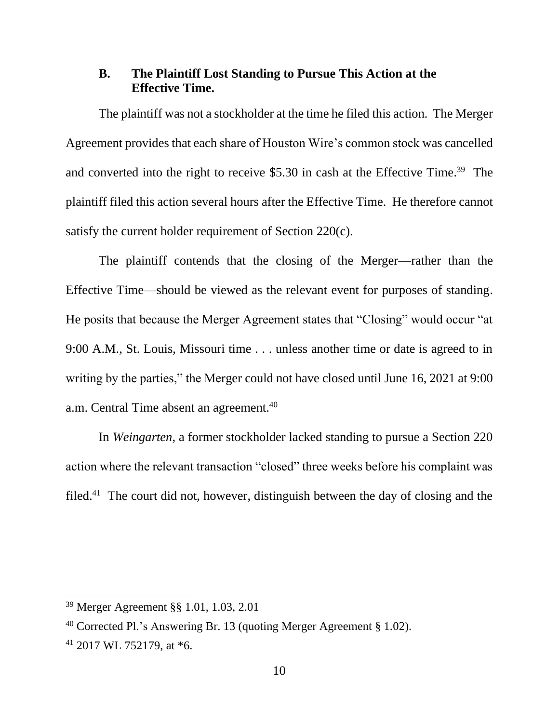## **B. The Plaintiff Lost Standing to Pursue This Action at the Effective Time.**

The plaintiff was not a stockholder at the time he filed this action. The Merger Agreement provides that each share of Houston Wire's common stock was cancelled and converted into the right to receive \$5.30 in cash at the Effective Time.<sup>39</sup> The plaintiff filed this action several hours after the Effective Time. He therefore cannot satisfy the current holder requirement of Section 220(c).

The plaintiff contends that the closing of the Merger—rather than the Effective Time—should be viewed as the relevant event for purposes of standing. He posits that because the Merger Agreement states that "Closing" would occur "at 9:00 A.M., St. Louis, Missouri time . . . unless another time or date is agreed to in writing by the parties," the Merger could not have closed until June 16, 2021 at 9:00 a.m. Central Time absent an agreement.<sup>40</sup>

In *Weingarten*, a former stockholder lacked standing to pursue a Section 220 action where the relevant transaction "closed" three weeks before his complaint was filed.<sup>41</sup> The court did not, however, distinguish between the day of closing and the

<sup>39</sup> Merger Agreement §§ 1.01, 1.03, 2.01

<sup>40</sup> Corrected Pl.'s Answering Br. 13 (quoting Merger Agreement § 1.02).

 $41$  2017 WL 752179, at  $*6$ .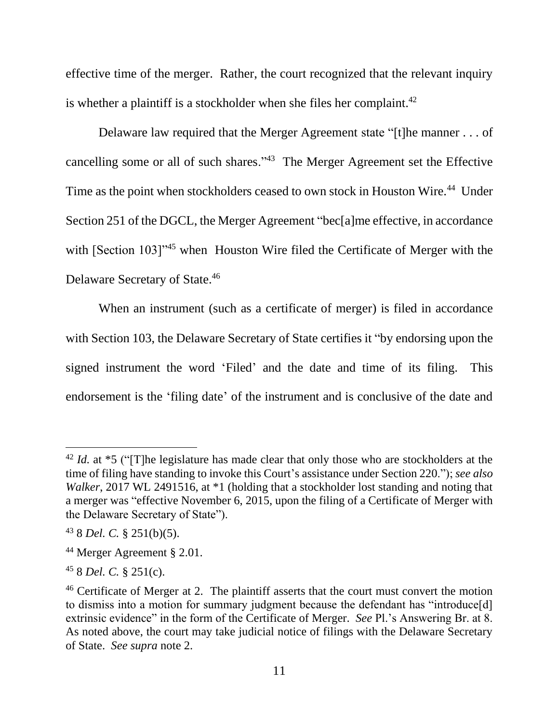effective time of the merger. Rather, the court recognized that the relevant inquiry is whether a plaintiff is a stockholder when she files her complaint. $42$ 

Delaware law required that the Merger Agreement state "[t]he manner . . . of cancelling some or all of such shares."<sup>43</sup> The Merger Agreement set the Effective Time as the point when stockholders ceased to own stock in Houston Wire.<sup>44</sup> Under Section 251 of the DGCL, the Merger Agreement "bec[a]me effective, in accordance with [Section 103]<sup>"45</sup> when Houston Wire filed the Certificate of Merger with the Delaware Secretary of State.<sup>46</sup>

When an instrument (such as a certificate of merger) is filed in accordance with Section 103, the Delaware Secretary of State certifies it "by endorsing upon the signed instrument the word 'Filed' and the date and time of its filing. This endorsement is the 'filing date' of the instrument and is conclusive of the date and

<sup>&</sup>lt;sup>42</sup> *Id.* at \*5 ("T]he legislature has made clear that only those who are stockholders at the time of filing have standing to invoke this Court's assistance under Section 220."); *see also Walker*, 2017 WL 2491516, at \*1 (holding that a stockholder lost standing and noting that a merger was "effective November 6, 2015, upon the filing of a Certificate of Merger with the Delaware Secretary of State").

<sup>43</sup> 8 *Del. C.* § 251(b)(5).

<sup>44</sup> Merger Agreement § 2.01.

<sup>45</sup> 8 *Del. C.* § 251(c).

<sup>&</sup>lt;sup>46</sup> Certificate of Merger at 2. The plaintiff asserts that the court must convert the motion to dismiss into a motion for summary judgment because the defendant has "introduce[d] extrinsic evidence" in the form of the Certificate of Merger. *See* Pl.'s Answering Br. at 8. As noted above, the court may take judicial notice of filings with the Delaware Secretary of State. *See supra* note 2.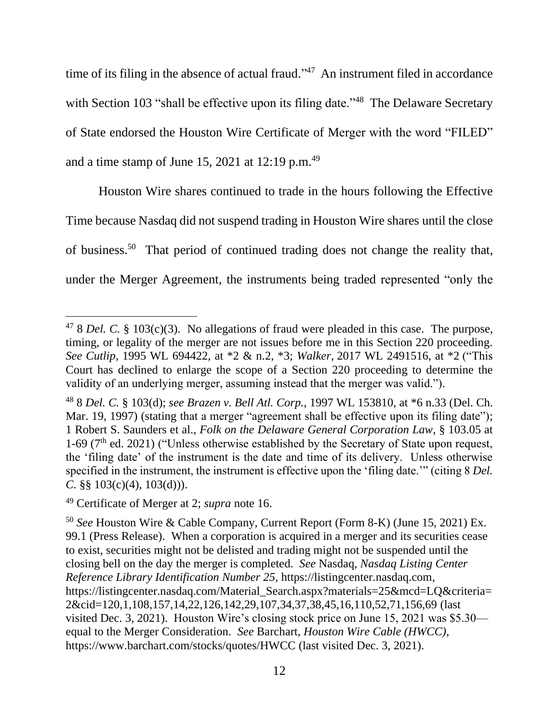time of its filing in the absence of actual fraud."<sup>47</sup> An instrument filed in accordance with Section 103 "shall be effective upon its filing date."<sup>48</sup> The Delaware Secretary of State endorsed the Houston Wire Certificate of Merger with the word "FILED" and a time stamp of June 15, 2021 at 12:19 p.m.<sup>49</sup>

Houston Wire shares continued to trade in the hours following the Effective Time because Nasdaq did not suspend trading in Houston Wire shares until the close of business. 50 That period of continued trading does not change the reality that, under the Merger Agreement, the instruments being traded represented "only the

<sup>47</sup> 8 *Del. C.* § 103(c)(3). No allegations of fraud were pleaded in this case. The purpose, timing, or legality of the merger are not issues before me in this Section 220 proceeding. *See Cutlip*, 1995 WL 694422, at \*2 & n.2, \*3; *Walker*, 2017 WL 2491516, at \*2 ("This Court has declined to enlarge the scope of a Section 220 proceeding to determine the validity of an underlying merger, assuming instead that the merger was valid.").

<sup>48</sup> 8 *Del. C.* § 103(d); *see Brazen v. Bell Atl. Corp.*, 1997 WL 153810, at \*6 n.33 (Del. Ch. Mar. 19, 1997) (stating that a merger "agreement shall be effective upon its filing date"); 1 Robert S. Saunders et al., *Folk on the Delaware General Corporation Law*, § 103.05 at 1-69 ( $7<sup>th</sup>$  ed. 2021) ("Unless otherwise established by the Secretary of State upon request, the 'filing date' of the instrument is the date and time of its delivery. Unless otherwise specified in the instrument, the instrument is effective upon the 'filing date.'" (citing 8 *Del. C.* §§ 103(c)(4), 103(d))).

<sup>49</sup> Certificate of Merger at 2; *supra* note 16.

<sup>50</sup> *See* Houston Wire & Cable Company, Current Report (Form 8-K) (June 15, 2021) Ex. 99.1 (Press Release). When a corporation is acquired in a merger and its securities cease to exist, securities might not be delisted and trading might not be suspended until the closing bell on the day the merger is completed. *See* Nasdaq, *Nasdaq Listing Center Reference Library Identification Number 25*, https://listingcenter.nasdaq.com, https://listingcenter.nasdaq.com/Material\_Search.aspx?materials=25&mcd=LQ&criteria= 2&cid=120,1,108,157,14,22,126,142,29,107,34,37,38,45,16,110,52,71,156,69 (last visited Dec. 3, 2021). Houston Wire's closing stock price on June 15, 2021 was \$5.30 equal to the Merger Consideration. *See* Barchart, *Houston Wire Cable (HWCC)*, https://www.barchart.com/stocks/quotes/HWCC (last visited Dec. 3, 2021).